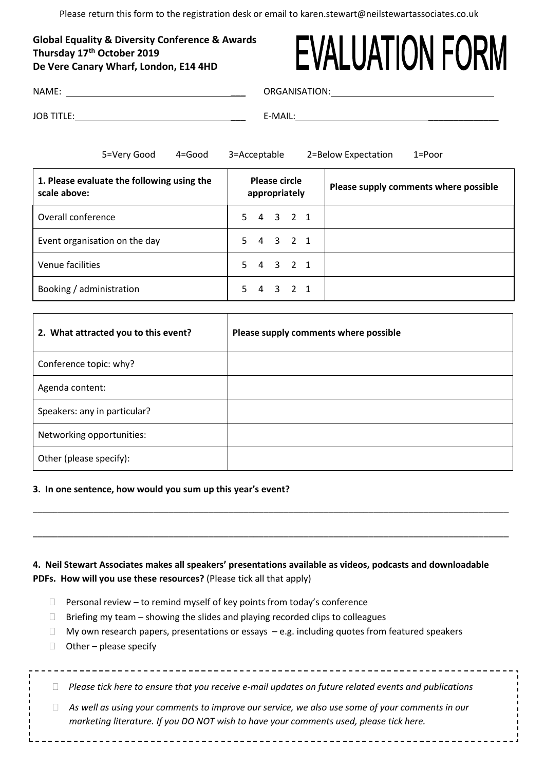Please return this form to the registration desk or email to karen.stewart@neilstewartassociates.co.uk

# **Global Equality & Diversity Conference & Awards Thursday 17th October 2019 De Vere Canary Wharf, London, E14 4HD**

# **EVALUATION FORM**

| NAME: |  |  |  |
|-------|--|--|--|
|       |  |  |  |

ORGANISATION:

JOB TITLE: \_\_\_ E-MAIL: \_\_\_\_\_\_\_\_\_\_\_\_\_\_

5=Very Good 4=Good 3=Acceptable 2=Below Expectation 1=Poor **1. Please evaluate the following using the scale above: Please circle appropriately Please supply comments where possible** Overall conference 5 4 3 2 1 Event organisation on the day 5 4 3 2 1 Venue facilities 5 4 3 2 1 Booking / administration 1 5 4 3 2 1

| 2. What attracted you to this event? | Please supply comments where possible |
|--------------------------------------|---------------------------------------|
| Conference topic: why?               |                                       |
| Agenda content:                      |                                       |
| Speakers: any in particular?         |                                       |
| Networking opportunities:            |                                       |
| Other (please specify):              |                                       |

# **3. In one sentence, how would you sum up this year's event?**

**4. Neil Stewart Associates makes all speakers' presentations available as videos, podcasts and downloadable PDFs. How will you use these resources?** (Please tick all that apply)

\_\_\_\_\_\_\_\_\_\_\_\_\_\_\_\_\_\_\_\_\_\_\_\_\_\_\_\_\_\_\_\_\_\_\_\_\_\_\_\_\_\_\_\_\_\_\_\_\_\_\_\_\_\_\_\_\_\_\_\_\_\_\_\_\_\_\_\_\_\_\_\_\_\_\_\_\_\_\_\_\_\_\_\_\_\_\_\_\_\_\_\_\_\_\_

\_\_\_\_\_\_\_\_\_\_\_\_\_\_\_\_\_\_\_\_\_\_\_\_\_\_\_\_\_\_\_\_\_\_\_\_\_\_\_\_\_\_\_\_\_\_\_\_\_\_\_\_\_\_\_\_\_\_\_\_\_\_\_\_\_\_\_\_\_\_\_\_\_\_\_\_\_\_\_\_\_\_\_\_\_\_\_\_\_\_\_\_\_\_\_

- $\Box$  Personal review to remind myself of key points from today's conference
- $\Box$  Briefing my team showing the slides and playing recorded clips to colleagues
- $\Box$  My own research papers, presentations or essays  $-e.g.$  including quotes from featured speakers
- $\Box$  Other please specify

| Please tick here to ensure that you receive e-mail updates on future related events and publications |
|------------------------------------------------------------------------------------------------------|
|                                                                                                      |

 *As well as using your comments to improve our service, we also use some of your comments in our marketing literature. If you DO NOT wish to have your comments used, please tick here.*